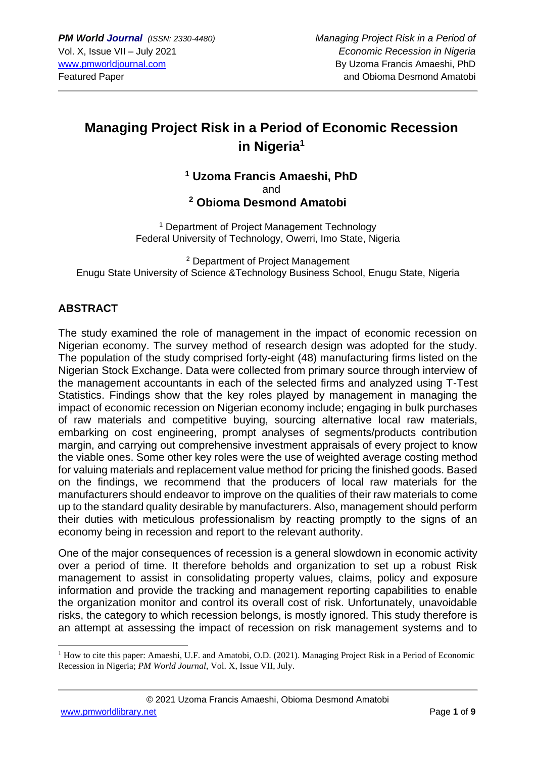# **Managing Project Risk in a Period of Economic Recession in Nigeria<sup>1</sup>**

## **<sup>1</sup> Uzoma Francis Amaeshi, PhD** and **<sup>2</sup> Obioma Desmond Amatobi**

<sup>1</sup> Department of Project Management Technology Federal University of Technology, Owerri, Imo State, Nigeria

<sup>2</sup> Department of Project Management Enugu State University of Science &Technology Business School, Enugu State, Nigeria

# **ABSTRACT**

The study examined the role of management in the impact of economic recession on Nigerian economy. The survey method of research design was adopted for the study. The population of the study comprised forty-eight (48) manufacturing firms listed on the Nigerian Stock Exchange. Data were collected from primary source through interview of the management accountants in each of the selected firms and analyzed using T-Test Statistics. Findings show that the key roles played by management in managing the impact of economic recession on Nigerian economy include; engaging in bulk purchases of raw materials and competitive buying, sourcing alternative local raw materials, embarking on cost engineering, prompt analyses of segments/products contribution margin, and carrying out comprehensive investment appraisals of every project to know the viable ones. Some other key roles were the use of weighted average costing method for valuing materials and replacement value method for pricing the finished goods. Based on the findings, we recommend that the producers of local raw materials for the manufacturers should endeavor to improve on the qualities of their raw materials to come up to the standard quality desirable by manufacturers. Also, management should perform their duties with meticulous professionalism by reacting promptly to the signs of an economy being in recession and report to the relevant authority.

One of the major consequences of recession is a general slowdown in economic activity over a period of time. It therefore beholds and organization to set up a robust Risk management to assist in consolidating property values, claims, policy and exposure information and provide the tracking and management reporting capabilities to enable the organization monitor and control its overall cost of risk. Unfortunately, unavoidable risks, the category to which recession belongs, is mostly ignored. This study therefore is an attempt at assessing the impact of recession on risk management systems and to

 $1$  How to cite this paper: Amaeshi, U.F. and Amatobi, O.D. (2021). Managing Project Risk in a Period of Economic Recession in Nigeria; *PM World Journal*, Vol. X, Issue VII, July.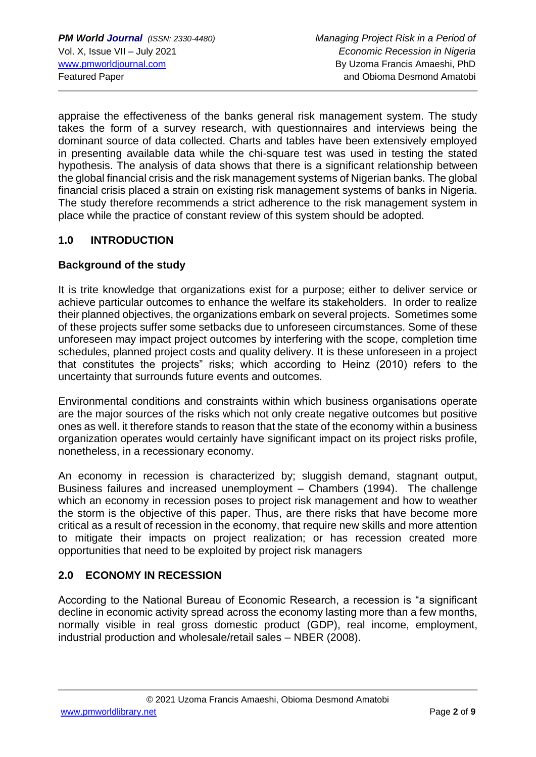appraise the effectiveness of the banks general risk management system. The study takes the form of a survey research, with questionnaires and interviews being the dominant source of data collected. Charts and tables have been extensively employed in presenting available data while the chi-square test was used in testing the stated hypothesis. The analysis of data shows that there is a significant relationship between the global financial crisis and the risk management systems of Nigerian banks. The global financial crisis placed a strain on existing risk management systems of banks in Nigeria. The study therefore recommends a strict adherence to the risk management system in place while the practice of constant review of this system should be adopted.

## **1.0 INTRODUCTION**

#### **Background of the study**

It is trite knowledge that organizations exist for a purpose; either to deliver service or achieve particular outcomes to enhance the welfare its stakeholders. In order to realize their planned objectives, the organizations embark on several projects. Sometimes some of these projects suffer some setbacks due to unforeseen circumstances. Some of these unforeseen may impact project outcomes by interfering with the scope, completion time schedules, planned project costs and quality delivery. It is these unforeseen in a project that constitutes the projects" risks; which according to Heinz (2010) refers to the uncertainty that surrounds future events and outcomes.

Environmental conditions and constraints within which business organisations operate are the major sources of the risks which not only create negative outcomes but positive ones as well. it therefore stands to reason that the state of the economy within a business organization operates would certainly have significant impact on its project risks profile, nonetheless, in a recessionary economy.

An economy in recession is characterized by; sluggish demand, stagnant output, Business failures and increased unemployment – Chambers (1994). The challenge which an economy in recession poses to project risk management and how to weather the storm is the objective of this paper. Thus, are there risks that have become more critical as a result of recession in the economy, that require new skills and more attention to mitigate their impacts on project realization; or has recession created more opportunities that need to be exploited by project risk managers

#### **2.0 ECONOMY IN RECESSION**

According to the National Bureau of Economic Research, a recession is "a significant decline in economic activity spread across the economy lasting more than a few months, normally visible in real gross domestic product (GDP), real income, employment, industrial production and wholesale/retail sales – NBER (2008).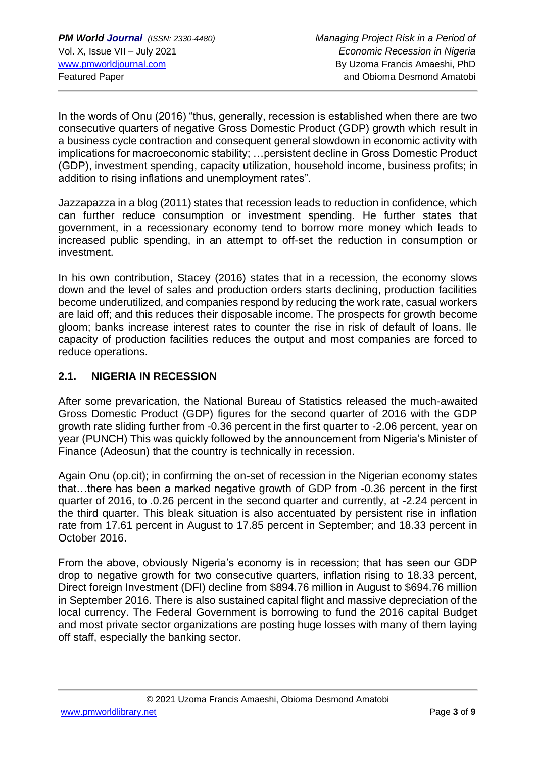In the words of Onu (2016) "thus, generally, recession is established when there are two consecutive quarters of negative Gross Domestic Product (GDP) growth which result in a business cycle contraction and consequent general slowdown in economic activity with implications for macroeconomic stability; …persistent decline in Gross Domestic Product (GDP), investment spending, capacity utilization, household income, business profits; in addition to rising inflations and unemployment rates".

Jazzapazza in a blog (2011) states that recession leads to reduction in confidence, which can further reduce consumption or investment spending. He further states that government, in a recessionary economy tend to borrow more money which leads to increased public spending, in an attempt to off-set the reduction in consumption or investment.

In his own contribution, Stacey (2016) states that in a recession, the economy slows down and the level of sales and production orders starts declining, production facilities become underutilized, and companies respond by reducing the work rate, casual workers are laid off; and this reduces their disposable income. The prospects for growth become gloom; banks increase interest rates to counter the rise in risk of default of loans. Ile capacity of production facilities reduces the output and most companies are forced to reduce operations.

# **2.1. NIGERIA IN RECESSION**

After some prevarication, the National Bureau of Statistics released the much-awaited Gross Domestic Product (GDP) figures for the second quarter of 2016 with the GDP growth rate sliding further from -0.36 percent in the first quarter to -2.06 percent, year on year (PUNCH) This was quickly followed by the announcement from Nigeria's Minister of Finance (Adeosun) that the country is technically in recession.

Again Onu (op.cit); in confirming the on-set of recession in the Nigerian economy states that…there has been a marked negative growth of GDP from -0.36 percent in the first quarter of 2016, to .0.26 percent in the second quarter and currently, at -2.24 percent in the third quarter. This bleak situation is also accentuated by persistent rise in inflation rate from 17.61 percent in August to 17.85 percent in September; and 18.33 percent in October 2016.

From the above, obviously Nigeria's economy is in recession; that has seen our GDP drop to negative growth for two consecutive quarters, inflation rising to 18.33 percent, Direct foreign Investment (DFI) decline from \$894.76 million in August to \$694.76 million in September 2016. There is also sustained capital flight and massive depreciation of the local currency. The Federal Government is borrowing to fund the 2016 capital Budget and most private sector organizations are posting huge losses with many of them laying off staff, especially the banking sector.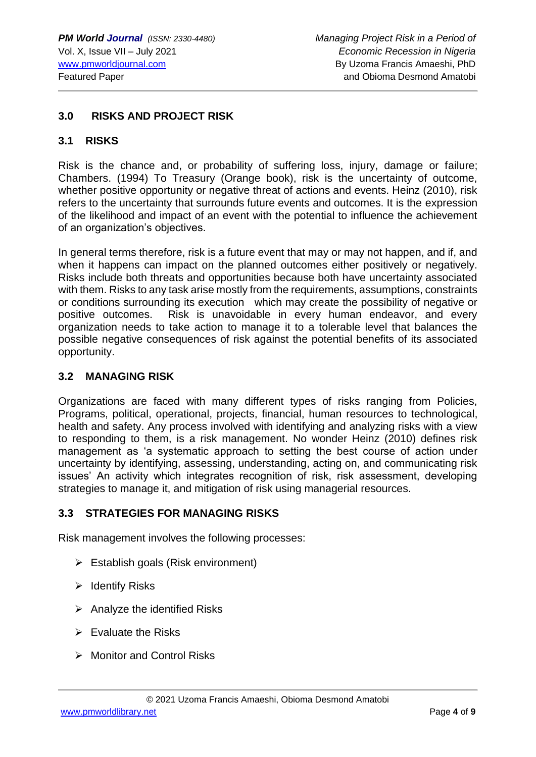#### **3.0 RISKS AND PROJECT RISK**

#### **3.1 RISKS**

Risk is the chance and, or probability of suffering loss, injury, damage or failure; Chambers. (1994) To Treasury (Orange book), risk is the uncertainty of outcome, whether positive opportunity or negative threat of actions and events. Heinz (2010), risk refers to the uncertainty that surrounds future events and outcomes. It is the expression of the likelihood and impact of an event with the potential to influence the achievement of an organization's objectives.

In general terms therefore, risk is a future event that may or may not happen, and if, and when it happens can impact on the planned outcomes either positively or negatively. Risks include both threats and opportunities because both have uncertainty associated with them. Risks to any task arise mostly from the requirements, assumptions, constraints or conditions surrounding its execution which may create the possibility of negative or positive outcomes. Risk is unavoidable in every human endeavor, and every organization needs to take action to manage it to a tolerable level that balances the possible negative consequences of risk against the potential benefits of its associated opportunity.

#### **3.2 MANAGING RISK**

Organizations are faced with many different types of risks ranging from Policies, Programs, political, operational, projects, financial, human resources to technological, health and safety. Any process involved with identifying and analyzing risks with a view to responding to them, is a risk management. No wonder Heinz (2010) defines risk management as 'a systematic approach to setting the best course of action under uncertainty by identifying, assessing, understanding, acting on, and communicating risk issues' An activity which integrates recognition of risk, risk assessment, developing strategies to manage it, and mitigation of risk using managerial resources.

#### **3.3 STRATEGIES FOR MANAGING RISKS**

Risk management involves the following processes:

- ➢ Establish goals (Risk environment)
- ➢ Identify Risks
- $\triangleright$  Analyze the identified Risks
- $\triangleright$  Evaluate the Risks
- ➢ Monitor and Control Risks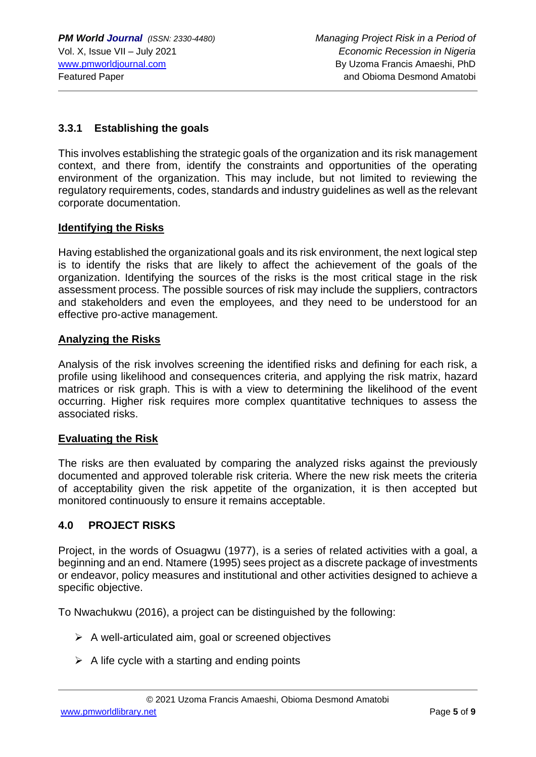## **3.3.1 Establishing the goals**

This involves establishing the strategic goals of the organization and its risk management context, and there from, identify the constraints and opportunities of the operating environment of the organization. This may include, but not limited to reviewing the regulatory requirements, codes, standards and industry guidelines as well as the relevant corporate documentation.

#### **Identifying the Risks**

Having established the organizational goals and its risk environment, the next logical step is to identify the risks that are likely to affect the achievement of the goals of the organization. Identifying the sources of the risks is the most critical stage in the risk assessment process. The possible sources of risk may include the suppliers, contractors and stakeholders and even the employees, and they need to be understood for an effective pro-active management.

#### **Analyzing the Risks**

Analysis of the risk involves screening the identified risks and defining for each risk, a profile using likelihood and consequences criteria, and applying the risk matrix, hazard matrices or risk graph. This is with a view to determining the likelihood of the event occurring. Higher risk requires more complex quantitative techniques to assess the associated risks.

#### **Evaluating the Risk**

The risks are then evaluated by comparing the analyzed risks against the previously documented and approved tolerable risk criteria. Where the new risk meets the criteria of acceptability given the risk appetite of the organization, it is then accepted but monitored continuously to ensure it remains acceptable.

#### **4.0 PROJECT RISKS**

Project, in the words of Osuagwu (1977), is a series of related activities with a goal, a beginning and an end. Ntamere (1995) sees project as a discrete package of investments or endeavor, policy measures and institutional and other activities designed to achieve a specific objective.

To Nwachukwu (2016), a project can be distinguished by the following:

- $\triangleright$  A well-articulated aim, goal or screened objectives
- $\triangleright$  A life cycle with a starting and ending points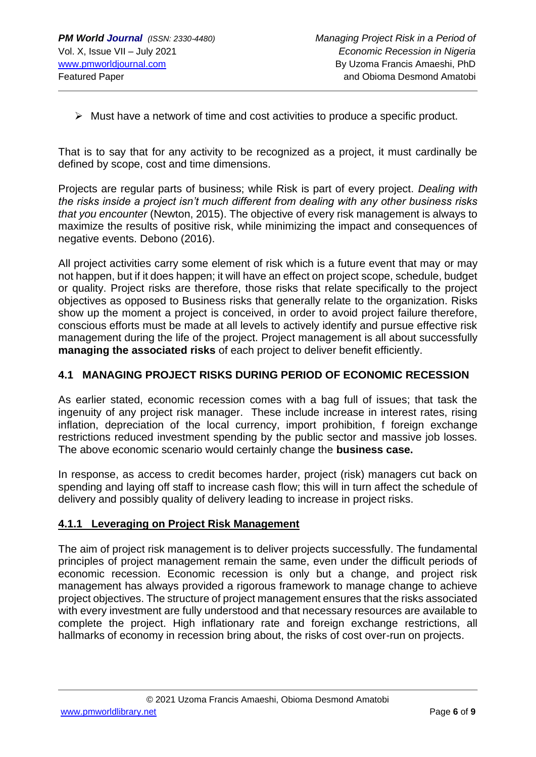➢ Must have a network of time and cost activities to produce a specific product.

That is to say that for any activity to be recognized as a project, it must cardinally be defined by scope, cost and time dimensions.

Projects are regular parts of business; while Risk is part of every project. *Dealing with the risks inside a project isn't much different from dealing with any other business risks that you encounter* (Newton, 2015). The objective of every risk management is always to maximize the results of positive risk, while minimizing the impact and consequences of negative events. Debono (2016).

All project activities carry some element of risk which is a future event that may or may not happen, but if it does happen; it will have an effect on project scope, schedule, budget or quality. Project risks are therefore, those risks that relate specifically to the project objectives as opposed to Business risks that generally relate to the organization. Risks show up the moment a project is conceived, in order to avoid project failure therefore, conscious efforts must be made at all levels to actively identify and pursue effective risk management during the life of the project. Project management is all about successfully **managing the associated risks** of each project to deliver benefit efficiently.

#### **4.1 MANAGING PROJECT RISKS DURING PERIOD OF ECONOMIC RECESSION**

As earlier stated, economic recession comes with a bag full of issues; that task the ingenuity of any project risk manager. These include increase in interest rates, rising inflation, depreciation of the local currency, import prohibition, f foreign exchange restrictions reduced investment spending by the public sector and massive job losses. The above economic scenario would certainly change the **business case.**

In response, as access to credit becomes harder, project (risk) managers cut back on spending and laying off staff to increase cash flow; this will in turn affect the schedule of delivery and possibly quality of delivery leading to increase in project risks.

#### **4.1.1 Leveraging on Project Risk Management**

The aim of project risk management is to deliver projects successfully. The fundamental principles of project management remain the same, even under the difficult periods of economic recession. Economic recession is only but a change, and project risk management has always provided a rigorous framework to manage change to achieve project objectives. The structure of project management ensures that the risks associated with every investment are fully understood and that necessary resources are available to complete the project. High inflationary rate and foreign exchange restrictions, all hallmarks of economy in recession bring about, the risks of cost over-run on projects.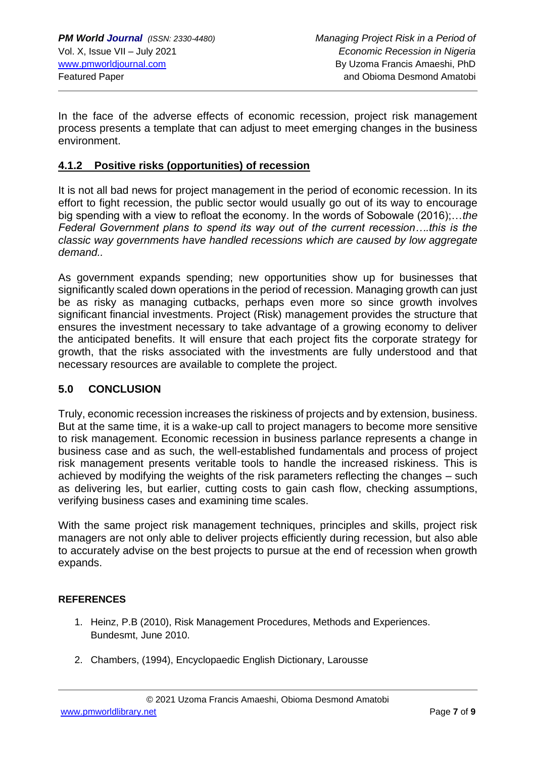In the face of the adverse effects of economic recession, project risk management process presents a template that can adjust to meet emerging changes in the business environment.

#### **4.1.2 Positive risks (opportunities) of recession**

It is not all bad news for project management in the period of economic recession. In its effort to fight recession, the public sector would usually go out of its way to encourage big spending with a view to refloat the economy. In the words of Sobowale (2016);…*the Federal Government plans to spend its way out of the current recession….this is the classic way governments have handled recessions which are caused by low aggregate demand..*

As government expands spending; new opportunities show up for businesses that significantly scaled down operations in the period of recession. Managing growth can just be as risky as managing cutbacks, perhaps even more so since growth involves significant financial investments. Project (Risk) management provides the structure that ensures the investment necessary to take advantage of a growing economy to deliver the anticipated benefits. It will ensure that each project fits the corporate strategy for growth, that the risks associated with the investments are fully understood and that necessary resources are available to complete the project.

#### **5.0 CONCLUSION**

Truly, economic recession increases the riskiness of projects and by extension, business. But at the same time, it is a wake-up call to project managers to become more sensitive to risk management. Economic recession in business parlance represents a change in business case and as such, the well-established fundamentals and process of project risk management presents veritable tools to handle the increased riskiness. This is achieved by modifying the weights of the risk parameters reflecting the changes – such as delivering les, but earlier, cutting costs to gain cash flow, checking assumptions, verifying business cases and examining time scales.

With the same project risk management techniques, principles and skills, project risk managers are not only able to deliver projects efficiently during recession, but also able to accurately advise on the best projects to pursue at the end of recession when growth expands.

#### **REFERENCES**

- 1. Heinz, P.B (2010), Risk Management Procedures, Methods and Experiences. Bundesmt, June 2010.
- 2. Chambers, (1994), Encyclopaedic English Dictionary, Larousse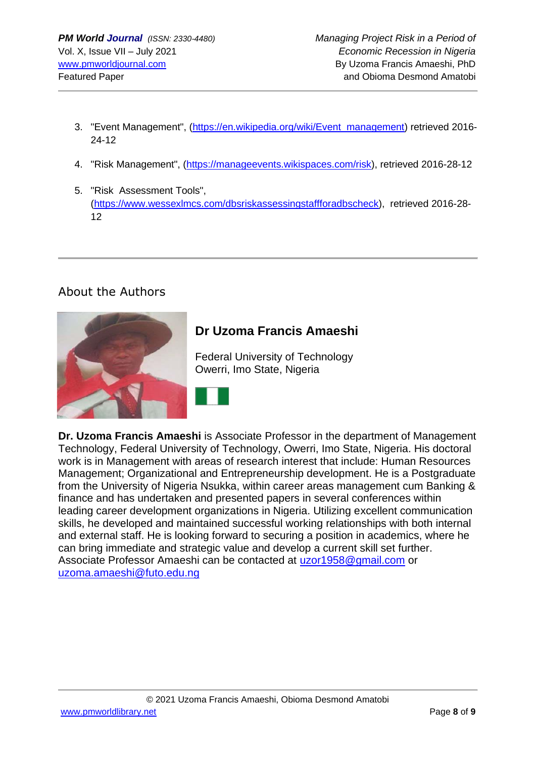- 3. "Event Management", [\(https://en.wikipedia.org/wiki/Event\\_management\)](https://en.wikipedia.org/wiki/Event_management) retrieved 2016-24-12
- 4. "Risk Management", [\(https://manageevents.wikispaces.com/risk\)](https://manageevents.wikispaces.com/risk), retrieved 2016-28-12
- 5. "Risk Assessment Tools", [\(https://www.wessexlmcs.com/dbsriskassessingstaffforadbscheck\)](https://www.wessexlmcs.com/dbsriskassessingstaffforadbscheck), retrieved 2016-28- 12

# About the Authors



**Dr. Uzoma Francis Amaeshi** is Associate Professor in the department of Management Technology, Federal University of Technology, Owerri, Imo State, Nigeria. His doctoral work is in Management with areas of research interest that include: Human Resources Management; Organizational and Entrepreneurship development. He is a Postgraduate from the University of Nigeria Nsukka, within career areas management cum Banking & finance and has undertaken and presented papers in several conferences within leading career development organizations in Nigeria. Utilizing excellent communication skills, he developed and maintained successful working relationships with both internal and external staff. He is looking forward to securing a position in academics, where he can bring immediate and strategic value and develop a current skill set further. Associate Professor Amaeshi can be contacted at [uzor1958@gmail.com](mailto:uzor1958@gmail.com) or [uzoma.amaeshi@futo.edu.ng](mailto:uzoma.amaeshi@futo.edu.ng)